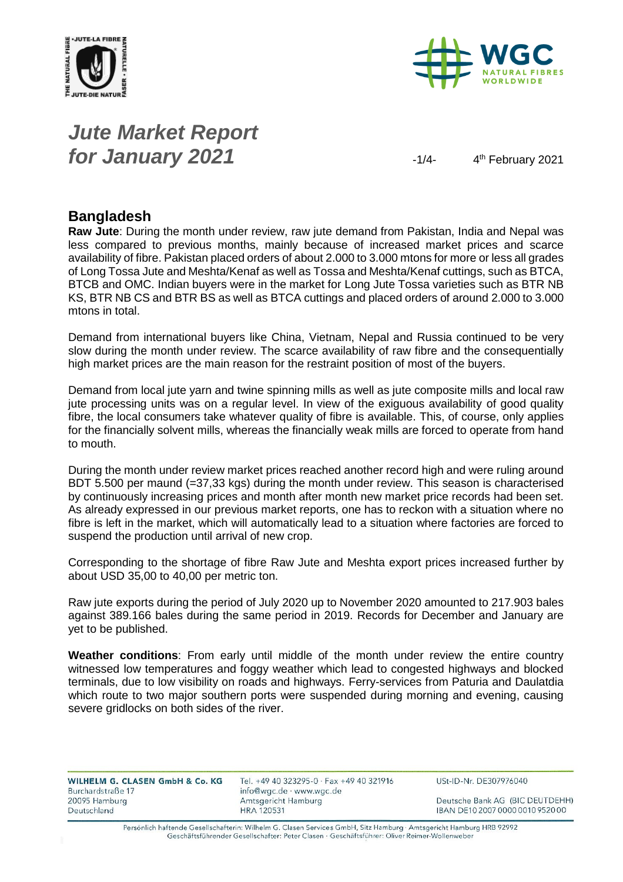



# *Jute Market Report for January 2021*  $\frac{1}{4}$

4<sup>th</sup> February 2021

### **Bangladesh**

**Raw Jute**: During the month under review, raw jute demand from Pakistan, India and Nepal was less compared to previous months, mainly because of increased market prices and scarce availability of fibre. Pakistan placed orders of about 2.000 to 3.000 mtons for more or less all grades of Long Tossa Jute and Meshta/Kenaf as well as Tossa and Meshta/Kenaf cuttings, such as BTCA, BTCB and OMC. Indian buyers were in the market for Long Jute Tossa varieties such as BTR NB KS, BTR NB CS and BTR BS as well as BTCA cuttings and placed orders of around 2.000 to 3.000 mtons in total.

Demand from international buyers like China, Vietnam, Nepal and Russia continued to be very slow during the month under review. The scarce availability of raw fibre and the consequentially high market prices are the main reason for the restraint position of most of the buyers.

Demand from local jute yarn and twine spinning mills as well as jute composite mills and local raw jute processing units was on a regular level. In view of the exiguous availability of good quality fibre, the local consumers take whatever quality of fibre is available. This, of course, only applies for the financially solvent mills, whereas the financially weak mills are forced to operate from hand to mouth.

During the month under review market prices reached another record high and were ruling around BDT 5.500 per maund (=37,33 kgs) during the month under review. This season is characterised by continuously increasing prices and month after month new market price records had been set. As already expressed in our previous market reports, one has to reckon with a situation where no fibre is left in the market, which will automatically lead to a situation where factories are forced to suspend the production until arrival of new crop.

Corresponding to the shortage of fibre Raw Jute and Meshta export prices increased further by about USD 35,00 to 40,00 per metric ton.

Raw jute exports during the period of July 2020 up to November 2020 amounted to 217.903 bales against 389.166 bales during the same period in 2019. Records for December and January are yet to be published.

**Weather conditions**: From early until middle of the month under review the entire country witnessed low temperatures and foggy weather which lead to congested highways and blocked terminals, due to low visibility on roads and highways. Ferry-services from Paturia and Daulatdia which route to two major southern ports were suspended during morning and evening, causing severe gridlocks on both sides of the river.

| WILHELM G. CLASEN GmbH & Co. KG | Tel. +49 40 3232 |
|---------------------------------|------------------|
| Burchardstraße 17               | info@wgc.de · w  |
| 20095 Hamburg                   | Amtsgericht Han  |
| Deutschland                     | HRA 120531       |
|                                 |                  |

95-0 · Fax +49 40 321916 ww.wgc.de nburg

USt-ID-Nr. DE307976040

Deutsche Bank AG (BIC DEUTDEHH) IBAN DE10 2007 0000 0010 9520 00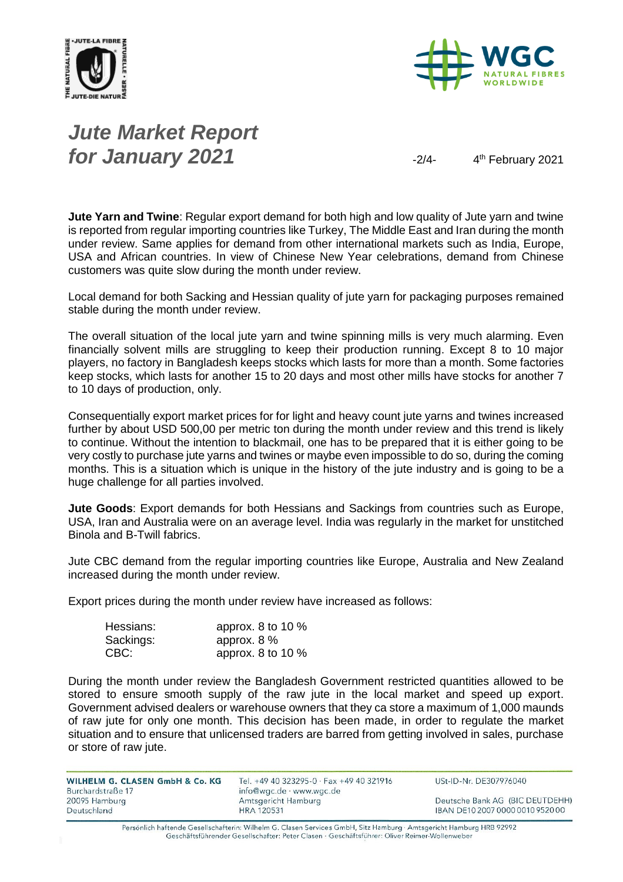



# *Jute Market Report for January 2021*  $\frac{2}{4}$

4<sup>th</sup> February 2021

**Jute Yarn and Twine**: Regular export demand for both high and low quality of Jute yarn and twine is reported from regular importing countries like Turkey, The Middle East and Iran during the month under review. Same applies for demand from other international markets such as India, Europe, USA and African countries. In view of Chinese New Year celebrations, demand from Chinese customers was quite slow during the month under review.

Local demand for both Sacking and Hessian quality of jute yarn for packaging purposes remained stable during the month under review.

The overall situation of the local jute yarn and twine spinning mills is very much alarming. Even financially solvent mills are struggling to keep their production running. Except 8 to 10 major players, no factory in Bangladesh keeps stocks which lasts for more than a month. Some factories keep stocks, which lasts for another 15 to 20 days and most other mills have stocks for another 7 to 10 days of production, only.

Consequentially export market prices for for light and heavy count jute yarns and twines increased further by about USD 500,00 per metric ton during the month under review and this trend is likely to continue. Without the intention to blackmail, one has to be prepared that it is either going to be very costly to purchase jute yarns and twines or maybe even impossible to do so, during the coming months. This is a situation which is unique in the history of the jute industry and is going to be a huge challenge for all parties involved.

**Jute Goods**: Export demands for both Hessians and Sackings from countries such as Europe, USA, Iran and Australia were on an average level. India was regularly in the market for unstitched Binola and B-Twill fabrics.

Jute CBC demand from the regular importing countries like Europe, Australia and New Zealand increased during the month under review.

Export prices during the month under review have increased as follows:

| Hessians: | approx. 8 to 10 $%$ |
|-----------|---------------------|
| Sackings: | approx. $8\%$       |
| CBC:      | approx. 8 to 10 $%$ |

During the month under review the Bangladesh Government restricted quantities allowed to be stored to ensure smooth supply of the raw jute in the local market and speed up export. Government advised dealers or warehouse owners that they ca store a maximum of 1,000 maunds of raw jute for only one month. This decision has been made, in order to regulate the market situation and to ensure that unlicensed traders are barred from getting involved in sales, purchase or store of raw jute.

| <b>WILHELM G. CLASEN GmbH &amp; Co. KG</b> |  |
|--------------------------------------------|--|
| Burchardstraße 17                          |  |
| 20095 Hamburg                              |  |
| Deutschland                                |  |

Tel. +49 40 323295-0 · Fax +49 40 321916 info@wgc.de · www.wgc.de Amtsgericht Hamburg **HRA 120531** 

USt-ID-Nr. DE307976040

Deutsche Bank AG (BIC DEUTDEHH) IBAN DE10 2007 0000 0010 9520 00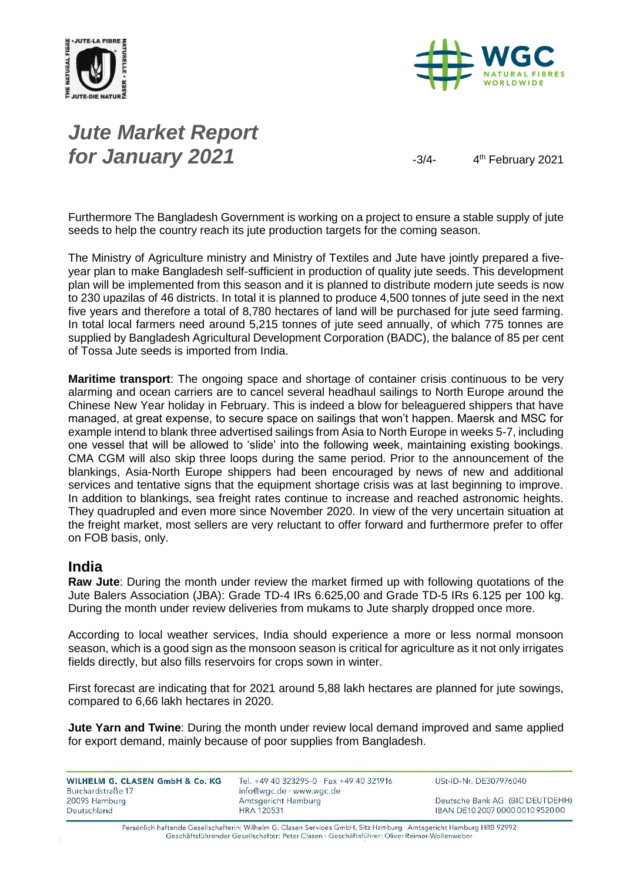



# *Jute Market Report for January 2021*  $\frac{3}{4}$

4<sup>th</sup> February 2021

Furthermore The Bangladesh Government is working on a project to ensure a stable supply of jute seeds to help the country reach its jute production targets for the coming season.

The Ministry of Agriculture ministry and Ministry of Textiles and Jute have jointly prepared a fiveyear plan to make Bangladesh self-sufficient in production of quality jute seeds. This development plan will be implemented from this season and it is planned to distribute modern jute seeds is now to 230 upazilas of 46 districts. In total it is planned to produce 4,500 tonnes of jute seed in the next five years and therefore a total of 8,780 hectares of land will be purchased for jute seed farming. In total local farmers need around 5,215 tonnes of jute seed annually, of which 775 tonnes are supplied by Bangladesh Agricultural Development Corporation (BADC), the balance of 85 per cent of Tossa Jute seeds is imported from India.

**Maritime transport**: The ongoing space and shortage of container crisis continuous to be very alarming and ocean carriers are to cancel several headhaul sailings to North Europe around the Chinese New Year holiday in February. This is indeed a blow for beleaguered shippers that have managed, at great expense, to secure space on sailings that won't happen. Maersk and MSC for example intend to blank three advertised sailings from Asia to North Europe in weeks 5-7, including one vessel that will be allowed to 'slide' into the following week, maintaining existing bookings. CMA CGM will also skip three loops during the same period. Prior to the announcement of the blankings, Asia-North Europe shippers had been encouraged by news of new and additional services and tentative signs that the equipment shortage crisis was at last beginning to improve. In addition to blankings, sea freight rates continue to increase and reached astronomic heights. They quadrupled and even more since November 2020. In view of the very uncertain situation at the freight market, most sellers are very reluctant to offer forward and furthermore prefer to offer on FOB basis, only.

#### **India**

**Raw Jute**: During the month under review the market firmed up with following quotations of the Jute Balers Association (JBA): Grade TD-4 IRs 6.625,00 and Grade TD-5 IRs 6.125 per 100 kg. During the month under review deliveries from mukams to Jute sharply dropped once more.

According to local weather services, India should experience a more or less normal monsoon season, which is a good sign as the monsoon season is critical for agriculture as it not only irrigates fields directly, but also fills reservoirs for crops sown in winter.

First forecast are indicating that for 2021 around 5,88 lakh hectares are planned for jute sowings, compared to 6,66 lakh hectares in 2020.

**Jute Yarn and Twine**: During the month under review local demand improved and same applied for export demand, mainly because of poor supplies from Bangladesh.

WILHELM G. CLASEN GmbH & Co. KG Burchardstraße 17 20095 Hamburg Deutschland

Tel. +49 40 323295-0 · Fax +49 40 321916 info@wgc.de · www.wgc.de Amtsgericht Hamburg **HRA 120531** 

USt-ID-Nr. DE307976040

Deutsche Bank AG (BIC DEUTDEHH) IBAN DE10 2007 0000 0010 9520 00